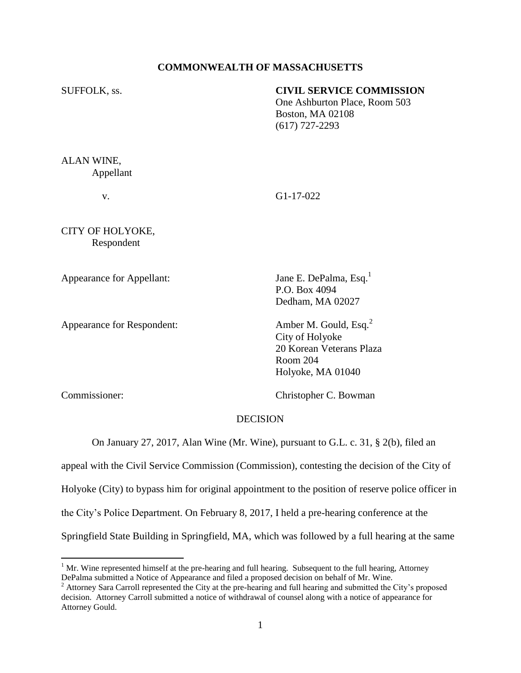## **COMMONWEALTH OF MASSACHUSETTS**

## SUFFOLK, ss. **CIVIL SERVICE COMMISSION**

One Ashburton Place, Room 503 Boston, MA 02108 (617) 727-2293

ALAN WINE, Appellant

v. G1-17-022

CITY OF HOLYOKE, Respondent

Appearance for Appellant: Jane E. DePalma, Esq.<sup>1</sup>

Appearance for Respondent: Amber M. Gould, Esq.<sup>2</sup>

P.O. Box 4094 Dedham, MA 02027

City of Holyoke 20 Korean Veterans Plaza Room 204 Holyoke, MA 01040

 $\overline{a}$ 

Commissioner: Christopher C. Bowman

## **DECISION**

On January 27, 2017, Alan Wine (Mr. Wine), pursuant to G.L. c. 31, § 2(b), filed an

appeal with the Civil Service Commission (Commission), contesting the decision of the City of Holyoke (City) to bypass him for original appointment to the position of reserve police officer in the City's Police Department. On February 8, 2017, I held a pre-hearing conference at the Springfield State Building in Springfield, MA, which was followed by a full hearing at the same

 $1$  Mr. Wine represented himself at the pre-hearing and full hearing. Subsequent to the full hearing, Attorney DePalma submitted a Notice of Appearance and filed a proposed decision on behalf of Mr. Wine.

<sup>&</sup>lt;sup>2</sup> Attorney Sara Carroll represented the City at the pre-hearing and full hearing and submitted the City's proposed decision. Attorney Carroll submitted a notice of withdrawal of counsel along with a notice of appearance for Attorney Gould.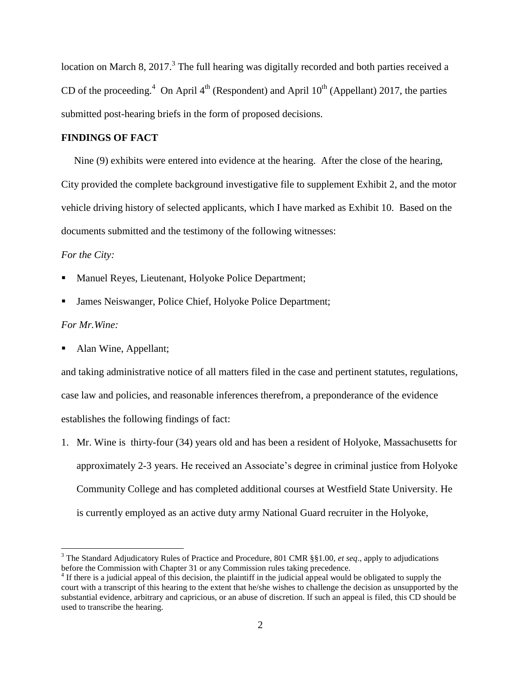location on March 8, 2017. $3$  The full hearing was digitally recorded and both parties received a CD of the proceeding.<sup>4</sup> On April  $4<sup>th</sup>$  (Respondent) and April  $10<sup>th</sup>$  (Appellant) 2017, the parties submitted post-hearing briefs in the form of proposed decisions.

# **FINDINGS OF FACT**

 Nine (9) exhibits were entered into evidence at the hearing. After the close of the hearing, City provided the complete background investigative file to supplement Exhibit 2, and the motor vehicle driving history of selected applicants, which I have marked as Exhibit 10. Based on the documents submitted and the testimony of the following witnesses:

## *For the City:*

- Manuel Reyes, Lieutenant, Holyoke Police Department;
- James Neiswanger, Police Chief, Holyoke Police Department;

## *For Mr.Wine:*

 $\overline{a}$ 

Alan Wine, Appellant;

and taking administrative notice of all matters filed in the case and pertinent statutes, regulations, case law and policies, and reasonable inferences therefrom, a preponderance of the evidence establishes the following findings of fact:

1. Mr. Wine is thirty-four (34) years old and has been a resident of Holyoke, Massachusetts for approximately 2-3 years. He received an Associate's degree in criminal justice from Holyoke Community College and has completed additional courses at Westfield State University. He is currently employed as an active duty army National Guard recruiter in the Holyoke,

<sup>3</sup> The Standard Adjudicatory Rules of Practice and Procedure, 801 CMR §§1.00, *et seq*., apply to adjudications before the Commission with Chapter 31 or any Commission rules taking precedence.

<sup>&</sup>lt;sup>4</sup> If there is a judicial appeal of this decision, the plaintiff in the judicial appeal would be obligated to supply the court with a transcript of this hearing to the extent that he/she wishes to challenge the decision as unsupported by the substantial evidence, arbitrary and capricious, or an abuse of discretion. If such an appeal is filed, this CD should be used to transcribe the hearing.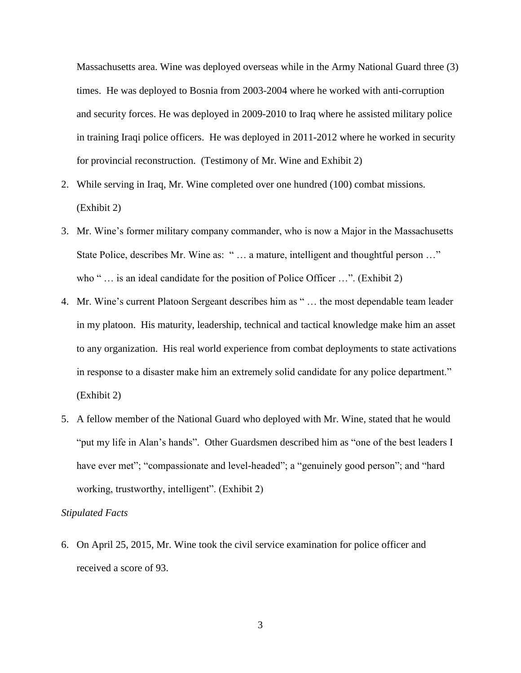Massachusetts area. Wine was deployed overseas while in the Army National Guard three (3) times. He was deployed to Bosnia from 2003-2004 where he worked with anti-corruption and security forces. He was deployed in 2009-2010 to Iraq where he assisted military police in training Iraqi police officers. He was deployed in 2011-2012 where he worked in security for provincial reconstruction. (Testimony of Mr. Wine and Exhibit 2)

- 2. While serving in Iraq, Mr. Wine completed over one hundred (100) combat missions. (Exhibit 2)
- 3. Mr. Wine's former military company commander, who is now a Major in the Massachusetts State Police, describes Mr. Wine as: " ... a mature, intelligent and thoughtful person ..." who " ... is an ideal candidate for the position of Police Officer ...". (Exhibit 2)
- 4. Mr. Wine's current Platoon Sergeant describes him as " … the most dependable team leader in my platoon. His maturity, leadership, technical and tactical knowledge make him an asset to any organization. His real world experience from combat deployments to state activations in response to a disaster make him an extremely solid candidate for any police department." (Exhibit 2)
- 5. A fellow member of the National Guard who deployed with Mr. Wine, stated that he would "put my life in Alan's hands". Other Guardsmen described him as "one of the best leaders I have ever met"; "compassionate and level-headed"; a "genuinely good person"; and "hard working, trustworthy, intelligent". (Exhibit 2)

#### *Stipulated Facts*

6. On April 25, 2015, Mr. Wine took the civil service examination for police officer and received a score of 93.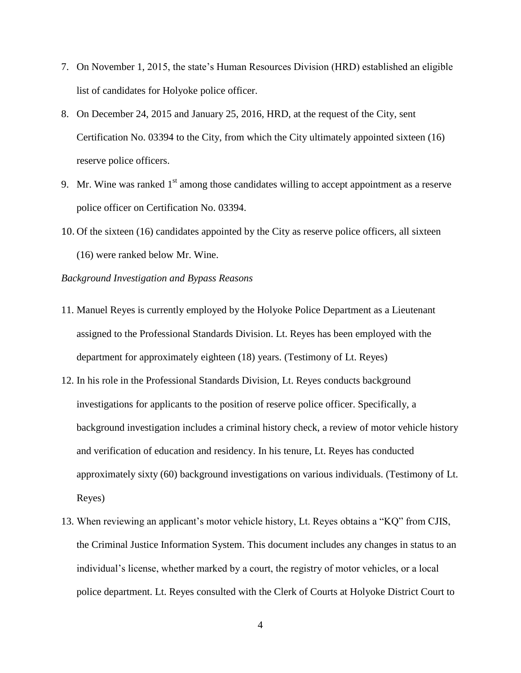- 7. On November 1, 2015, the state's Human Resources Division (HRD) established an eligible list of candidates for Holyoke police officer.
- 8. On December 24, 2015 and January 25, 2016, HRD, at the request of the City, sent Certification No. 03394 to the City, from which the City ultimately appointed sixteen (16) reserve police officers.
- 9. Mr. Wine was ranked  $1<sup>st</sup>$  among those candidates willing to accept appointment as a reserve police officer on Certification No. 03394.
- 10. Of the sixteen (16) candidates appointed by the City as reserve police officers, all sixteen (16) were ranked below Mr. Wine.

*Background Investigation and Bypass Reasons*

- 11. Manuel Reyes is currently employed by the Holyoke Police Department as a Lieutenant assigned to the Professional Standards Division. Lt. Reyes has been employed with the department for approximately eighteen (18) years. (Testimony of Lt. Reyes)
- 12. In his role in the Professional Standards Division, Lt. Reyes conducts background investigations for applicants to the position of reserve police officer. Specifically, a background investigation includes a criminal history check, a review of motor vehicle history and verification of education and residency. In his tenure, Lt. Reyes has conducted approximately sixty (60) background investigations on various individuals. (Testimony of Lt. Reyes)
- 13. When reviewing an applicant's motor vehicle history, Lt. Reyes obtains a "KQ" from CJIS, the Criminal Justice Information System. This document includes any changes in status to an individual's license, whether marked by a court, the registry of motor vehicles, or a local police department. Lt. Reyes consulted with the Clerk of Courts at Holyoke District Court to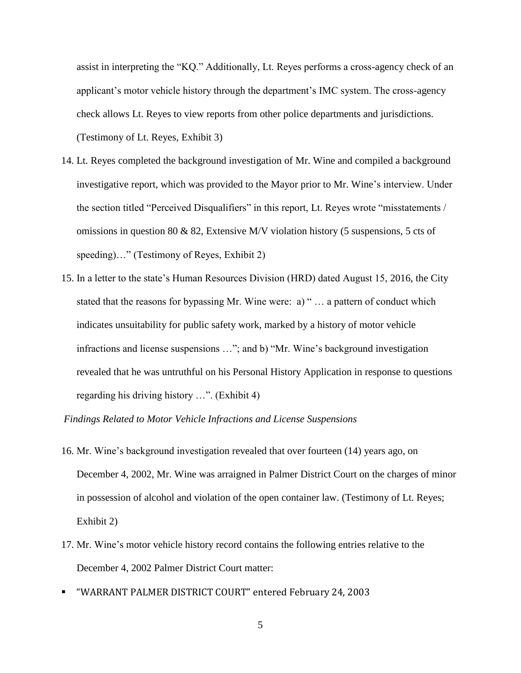assist in interpreting the "KQ." Additionally, Lt. Reyes performs a cross-agency check of an applicant's motor vehicle history through the department's IMC system. The cross-agency check allows Lt. Reyes to view reports from other police departments and jurisdictions. (Testimony of Lt. Reyes, Exhibit 3)

- 14. Lt. Reyes completed the background investigation of Mr. Wine and compiled a background investigative report, which was provided to the Mayor prior to Mr. Wine's interview. Under the section titled "Perceived Disqualifiers" in this report, Lt. Reyes wrote "misstatements / omissions in question 80 & 82, Extensive M/V violation history (5 suspensions, 5 cts of speeding)…" (Testimony of Reyes, Exhibit 2)
- 15. In a letter to the state's Human Resources Division (HRD) dated August 15, 2016, the City stated that the reasons for bypassing Mr. Wine were: a) " … a pattern of conduct which indicates unsuitability for public safety work, marked by a history of motor vehicle infractions and license suspensions …"; and b) "Mr. Wine's background investigation revealed that he was untruthful on his Personal History Application in response to questions regarding his driving history …". (Exhibit 4)

### *Findings Related to Motor Vehicle Infractions and License Suspensions*

- 16. Mr. Wine's background investigation revealed that over fourteen (14) years ago, on December 4, 2002, Mr. Wine was arraigned in Palmer District Court on the charges of minor in possession of alcohol and violation of the open container law. (Testimony of Lt. Reyes; Exhibit 2)
- 17. Mr. Wine's motor vehicle history record contains the following entries relative to the December 4, 2002 Palmer District Court matter:
- "WARRANT PALMER DISTRICT COURT" entered February 24, 2003
	- 5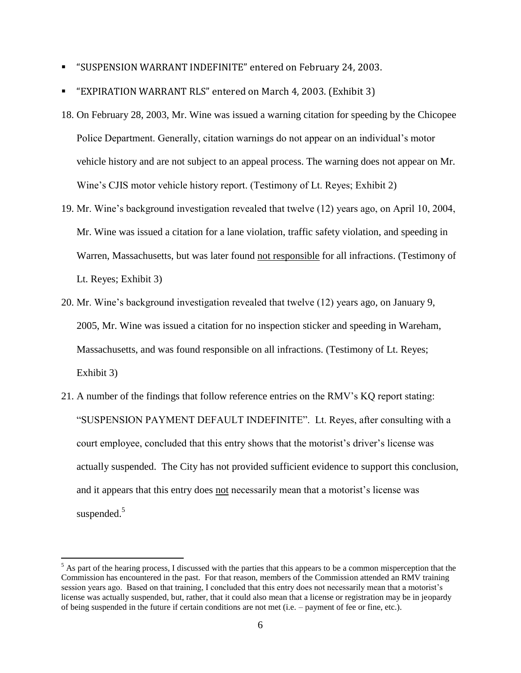- "SUSPENSION WARRANT INDEFINITE" entered on February 24, 2003.
- "EXPIRATION WARRANT RLS" entered on March 4, 2003. (Exhibit 3)
- 18. On February 28, 2003, Mr. Wine was issued a warning citation for speeding by the Chicopee Police Department. Generally, citation warnings do not appear on an individual's motor vehicle history and are not subject to an appeal process. The warning does not appear on Mr. Wine's CJIS motor vehicle history report. (Testimony of Lt. Reyes; Exhibit 2)
- 19. Mr. Wine's background investigation revealed that twelve (12) years ago, on April 10, 2004, Mr. Wine was issued a citation for a lane violation, traffic safety violation, and speeding in Warren, Massachusetts, but was later found not responsible for all infractions. (Testimony of Lt. Reyes; Exhibit 3)
- 20. Mr. Wine's background investigation revealed that twelve (12) years ago, on January 9, 2005, Mr. Wine was issued a citation for no inspection sticker and speeding in Wareham, Massachusetts, and was found responsible on all infractions. (Testimony of Lt. Reyes; Exhibit 3)
- 21. A number of the findings that follow reference entries on the RMV's KQ report stating: "SUSPENSION PAYMENT DEFAULT INDEFINITE". Lt. Reyes, after consulting with a court employee, concluded that this entry shows that the motorist's driver's license was actually suspended. The City has not provided sufficient evidence to support this conclusion, and it appears that this entry does not necessarily mean that a motorist's license was suspended.<sup>5</sup>

 $\overline{a}$ 

 $<sup>5</sup>$  As part of the hearing process, I discussed with the parties that this appears to be a common misperception that the</sup> Commission has encountered in the past. For that reason, members of the Commission attended an RMV training session years ago. Based on that training, I concluded that this entry does not necessarily mean that a motorist's license was actually suspended, but, rather, that it could also mean that a license or registration may be in jeopardy of being suspended in the future if certain conditions are not met (i.e. – payment of fee or fine, etc.).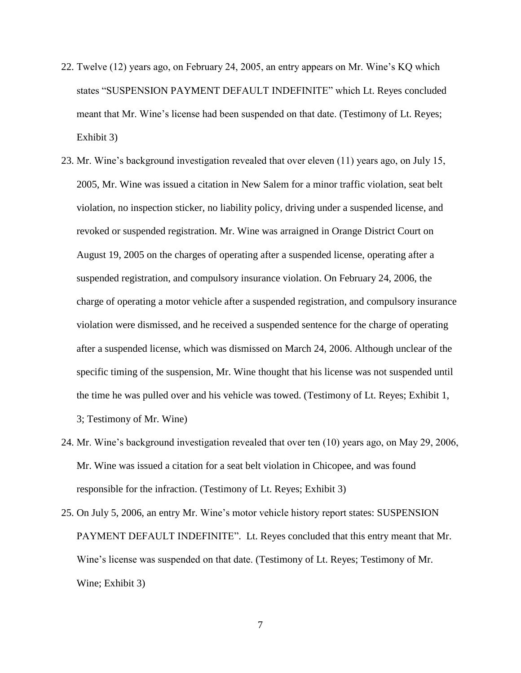- 22. Twelve (12) years ago, on February 24, 2005, an entry appears on Mr. Wine's KQ which states "SUSPENSION PAYMENT DEFAULT INDEFINITE" which Lt. Reyes concluded meant that Mr. Wine's license had been suspended on that date. (Testimony of Lt. Reyes; Exhibit 3)
- 23. Mr. Wine's background investigation revealed that over eleven (11) years ago, on July 15, 2005, Mr. Wine was issued a citation in New Salem for a minor traffic violation, seat belt violation, no inspection sticker, no liability policy, driving under a suspended license, and revoked or suspended registration. Mr. Wine was arraigned in Orange District Court on August 19, 2005 on the charges of operating after a suspended license, operating after a suspended registration, and compulsory insurance violation. On February 24, 2006, the charge of operating a motor vehicle after a suspended registration, and compulsory insurance violation were dismissed, and he received a suspended sentence for the charge of operating after a suspended license, which was dismissed on March 24, 2006. Although unclear of the specific timing of the suspension, Mr. Wine thought that his license was not suspended until the time he was pulled over and his vehicle was towed. (Testimony of Lt. Reyes; Exhibit 1, 3; Testimony of Mr. Wine)
- 24. Mr. Wine's background investigation revealed that over ten (10) years ago, on May 29, 2006, Mr. Wine was issued a citation for a seat belt violation in Chicopee, and was found responsible for the infraction. (Testimony of Lt. Reyes; Exhibit 3)
- 25. On July 5, 2006, an entry Mr. Wine's motor vehicle history report states: SUSPENSION PAYMENT DEFAULT INDEFINITE". Lt. Reyes concluded that this entry meant that Mr. Wine's license was suspended on that date. (Testimony of Lt. Reyes; Testimony of Mr. Wine; Exhibit 3)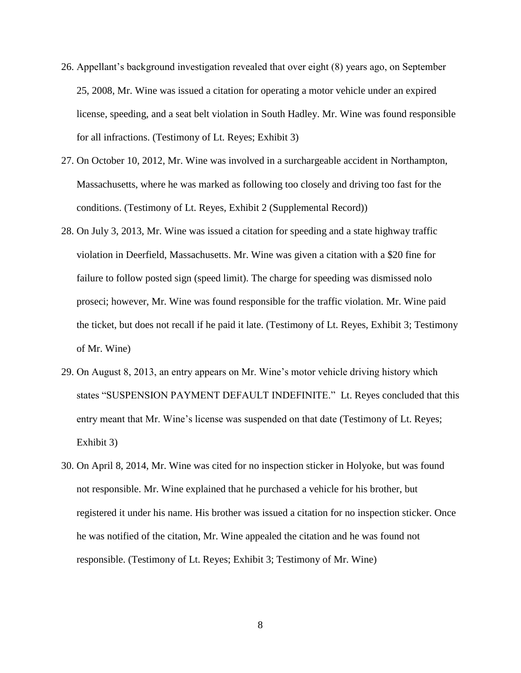- 26. Appellant's background investigation revealed that over eight (8) years ago, on September 25, 2008, Mr. Wine was issued a citation for operating a motor vehicle under an expired license, speeding, and a seat belt violation in South Hadley. Mr. Wine was found responsible for all infractions. (Testimony of Lt. Reyes; Exhibit 3)
- 27. On October 10, 2012, Mr. Wine was involved in a surchargeable accident in Northampton, Massachusetts, where he was marked as following too closely and driving too fast for the conditions. (Testimony of Lt. Reyes, Exhibit 2 (Supplemental Record))
- 28. On July 3, 2013, Mr. Wine was issued a citation for speeding and a state highway traffic violation in Deerfield, Massachusetts. Mr. Wine was given a citation with a \$20 fine for failure to follow posted sign (speed limit). The charge for speeding was dismissed nolo proseci; however, Mr. Wine was found responsible for the traffic violation. Mr. Wine paid the ticket, but does not recall if he paid it late. (Testimony of Lt. Reyes, Exhibit 3; Testimony of Mr. Wine)
- 29. On August 8, 2013, an entry appears on Mr. Wine's motor vehicle driving history which states "SUSPENSION PAYMENT DEFAULT INDEFINITE." Lt. Reyes concluded that this entry meant that Mr. Wine's license was suspended on that date (Testimony of Lt. Reyes; Exhibit 3)
- 30. On April 8, 2014, Mr. Wine was cited for no inspection sticker in Holyoke, but was found not responsible. Mr. Wine explained that he purchased a vehicle for his brother, but registered it under his name. His brother was issued a citation for no inspection sticker. Once he was notified of the citation, Mr. Wine appealed the citation and he was found not responsible. (Testimony of Lt. Reyes; Exhibit 3; Testimony of Mr. Wine)

8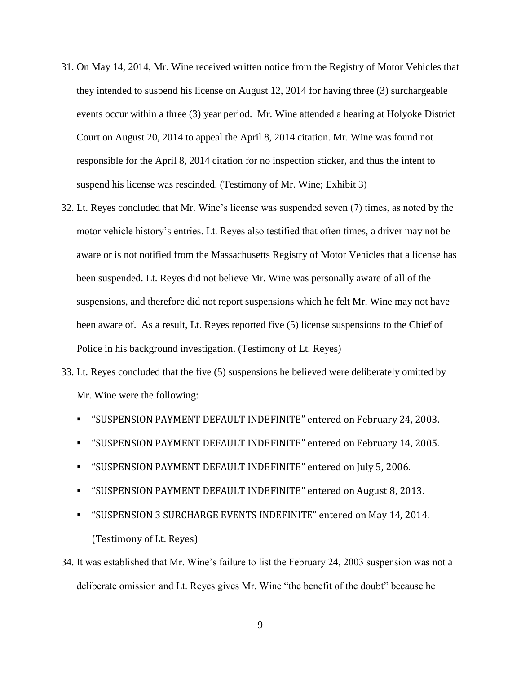- 31. On May 14, 2014, Mr. Wine received written notice from the Registry of Motor Vehicles that they intended to suspend his license on August 12, 2014 for having three (3) surchargeable events occur within a three (3) year period. Mr. Wine attended a hearing at Holyoke District Court on August 20, 2014 to appeal the April 8, 2014 citation. Mr. Wine was found not responsible for the April 8, 2014 citation for no inspection sticker, and thus the intent to suspend his license was rescinded. (Testimony of Mr. Wine; Exhibit 3)
- 32. Lt. Reyes concluded that Mr. Wine's license was suspended seven (7) times, as noted by the motor vehicle history's entries. Lt. Reyes also testified that often times, a driver may not be aware or is not notified from the Massachusetts Registry of Motor Vehicles that a license has been suspended. Lt. Reyes did not believe Mr. Wine was personally aware of all of the suspensions, and therefore did not report suspensions which he felt Mr. Wine may not have been aware of. As a result, Lt. Reyes reported five (5) license suspensions to the Chief of Police in his background investigation. (Testimony of Lt. Reyes)
- 33. Lt. Reyes concluded that the five (5) suspensions he believed were deliberately omitted by Mr. Wine were the following:
	- "SUSPENSION PAYMENT DEFAULT INDEFINITE" entered on February 24, 2003.
	- "SUSPENSION PAYMENT DEFAULT INDEFINITE" entered on February 14, 2005.
	- "SUSPENSION PAYMENT DEFAULT INDEFINITE" entered on July 5, 2006.
	- "SUSPENSION PAYMENT DEFAULT INDEFINITE" entered on August 8, 2013.
	- "SUSPENSION 3 SURCHARGE EVENTS INDEFINITE" entered on May 14, 2014. (Testimony of Lt. Reyes)
- 34. It was established that Mr. Wine's failure to list the February 24, 2003 suspension was not a deliberate omission and Lt. Reyes gives Mr. Wine "the benefit of the doubt" because he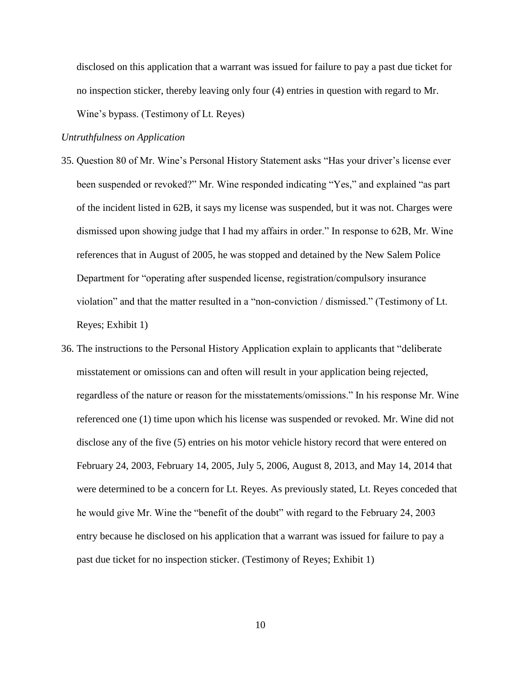disclosed on this application that a warrant was issued for failure to pay a past due ticket for no inspection sticker, thereby leaving only four (4) entries in question with regard to Mr. Wine's bypass. (Testimony of Lt. Reyes)

## *Untruthfulness on Application*

- 35. Question 80 of Mr. Wine's Personal History Statement asks "Has your driver's license ever been suspended or revoked?" Mr. Wine responded indicating "Yes," and explained "as part of the incident listed in 62B, it says my license was suspended, but it was not. Charges were dismissed upon showing judge that I had my affairs in order." In response to 62B, Mr. Wine references that in August of 2005, he was stopped and detained by the New Salem Police Department for "operating after suspended license, registration/compulsory insurance violation" and that the matter resulted in a "non-conviction / dismissed." (Testimony of Lt. Reyes; Exhibit 1)
- 36. The instructions to the Personal History Application explain to applicants that "deliberate misstatement or omissions can and often will result in your application being rejected, regardless of the nature or reason for the misstatements/omissions." In his response Mr. Wine referenced one (1) time upon which his license was suspended or revoked. Mr. Wine did not disclose any of the five (5) entries on his motor vehicle history record that were entered on February 24, 2003, February 14, 2005, July 5, 2006, August 8, 2013, and May 14, 2014 that were determined to be a concern for Lt. Reyes. As previously stated, Lt. Reyes conceded that he would give Mr. Wine the "benefit of the doubt" with regard to the February 24, 2003 entry because he disclosed on his application that a warrant was issued for failure to pay a past due ticket for no inspection sticker. (Testimony of Reyes; Exhibit 1)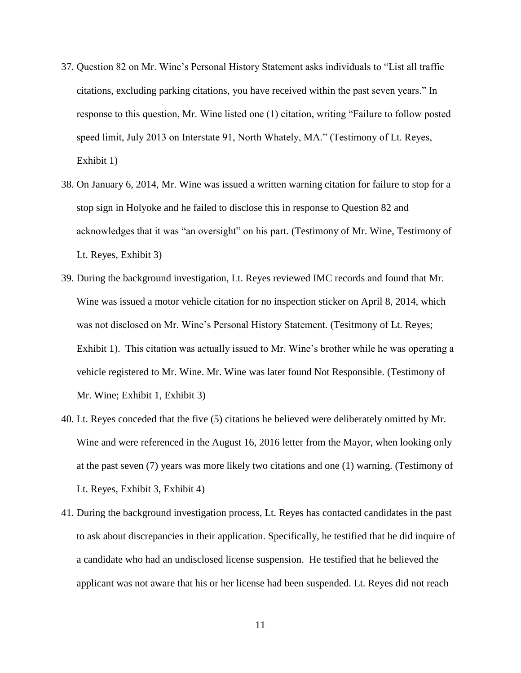- 37. Question 82 on Mr. Wine's Personal History Statement asks individuals to "List all traffic citations, excluding parking citations, you have received within the past seven years." In response to this question, Mr. Wine listed one (1) citation, writing "Failure to follow posted speed limit, July 2013 on Interstate 91, North Whately, MA." (Testimony of Lt. Reyes, Exhibit 1)
- 38. On January 6, 2014, Mr. Wine was issued a written warning citation for failure to stop for a stop sign in Holyoke and he failed to disclose this in response to Question 82 and acknowledges that it was "an oversight" on his part. (Testimony of Mr. Wine, Testimony of Lt. Reyes, Exhibit 3)
- 39. During the background investigation, Lt. Reyes reviewed IMC records and found that Mr. Wine was issued a motor vehicle citation for no inspection sticker on April 8, 2014, which was not disclosed on Mr. Wine's Personal History Statement. (Tesitmony of Lt. Reyes; Exhibit 1). This citation was actually issued to Mr. Wine's brother while he was operating a vehicle registered to Mr. Wine. Mr. Wine was later found Not Responsible. (Testimony of Mr. Wine; Exhibit 1, Exhibit 3)
- 40. Lt. Reyes conceded that the five (5) citations he believed were deliberately omitted by Mr. Wine and were referenced in the August 16, 2016 letter from the Mayor, when looking only at the past seven (7) years was more likely two citations and one (1) warning. (Testimony of Lt. Reyes, Exhibit 3, Exhibit 4)
- 41. During the background investigation process, Lt. Reyes has contacted candidates in the past to ask about discrepancies in their application. Specifically, he testified that he did inquire of a candidate who had an undisclosed license suspension. He testified that he believed the applicant was not aware that his or her license had been suspended. Lt. Reyes did not reach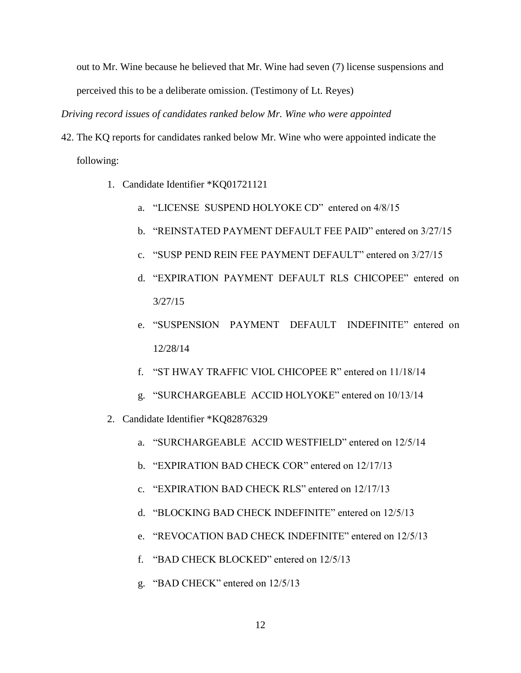out to Mr. Wine because he believed that Mr. Wine had seven (7) license suspensions and perceived this to be a deliberate omission. (Testimony of Lt. Reyes)

*Driving record issues of candidates ranked below Mr. Wine who were appointed*

- 42. The KQ reports for candidates ranked below Mr. Wine who were appointed indicate the following:
	- 1. Candidate Identifier \*KQ01721121
		- a. "LICENSE SUSPEND HOLYOKE CD" entered on 4/8/15
		- b. "REINSTATED PAYMENT DEFAULT FEE PAID" entered on 3/27/15
		- c. "SUSP PEND REIN FEE PAYMENT DEFAULT" entered on 3/27/15
		- d. "EXPIRATION PAYMENT DEFAULT RLS CHICOPEE" entered on 3/27/15
		- e. "SUSPENSION PAYMENT DEFAULT INDEFINITE" entered on 12/28/14
		- f. "ST HWAY TRAFFIC VIOL CHICOPEE R" entered on 11/18/14
		- g. "SURCHARGEABLE ACCID HOLYOKE" entered on 10/13/14
	- 2. Candidate Identifier \*KQ82876329
		- a. "SURCHARGEABLE ACCID WESTFIELD" entered on 12/5/14
		- b. "EXPIRATION BAD CHECK COR" entered on 12/17/13
		- c. "EXPIRATION BAD CHECK RLS" entered on 12/17/13
		- d. "BLOCKING BAD CHECK INDEFINITE" entered on 12/5/13
		- e. "REVOCATION BAD CHECK INDEFINITE" entered on 12/5/13
		- f. "BAD CHECK BLOCKED" entered on 12/5/13
		- g. "BAD CHECK" entered on 12/5/13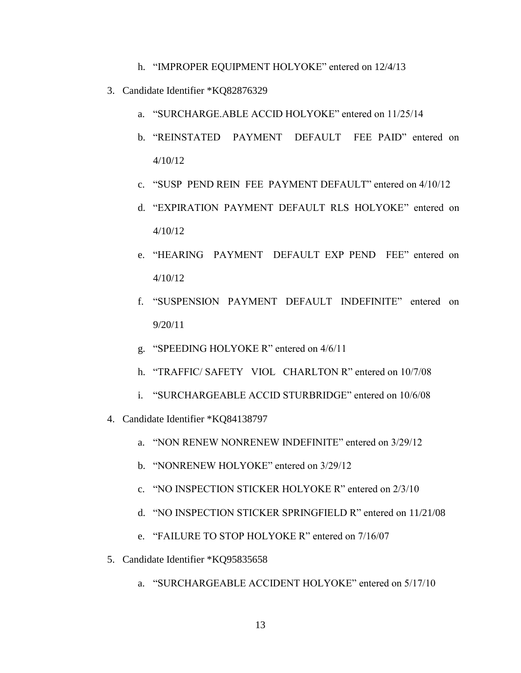- h. "IMPROPER EOUIPMENT HOLYOKE" entered on 12/4/13
- 3. Candidate Identifier \*KQ82876329
	- a. "SURCHARGE.ABLE ACCID HOLYOKE" entered on 11/25/14
	- b. "REINSTATED PAYMENT DEFAULT FEE PAID" entered on 4/10/12
	- c. "SUSP PEND REIN FEE PAYMENT DEFAULT" entered on 4/10/12
	- d. "EXPIRATION PAYMENT DEFAULT RLS HOLYOKE" entered on 4/10/12
	- e. "HEARING PAYMENT DEFAULT EXP PEND FEE" entered on 4/10/12
	- f. "SUSPENSION PAYMENT DEFAULT INDEFINITE" entered on 9/20/11
	- g. "SPEEDING HOLYOKE R" entered on 4/6/11
	- h. "TRAFFIC/ SAFETY VIOL CHARLTON R" entered on 10/7/08
	- i. "SURCHARGEABLE ACCID STURBRIDGE" entered on 10/6/08
- 4. Candidate Identifier \*KQ84138797
	- a. "NON RENEW NONRENEW INDEFINITE" entered on 3/29/12
	- b. "NONRENEW HOLYOKE" entered on 3/29/12
	- c. "NO INSPECTION STICKER HOLYOKE R" entered on 2/3/10
	- d. "NO INSPECTION STICKER SPRINGFIELD R" entered on 11/21/08
	- e. "FAILURE TO STOP HOLYOKE R" entered on 7/16/07
- 5. Candidate Identifier \*KQ95835658
	- a. "SURCHARGEABLE ACCIDENT HOLYOKE" entered on 5/17/10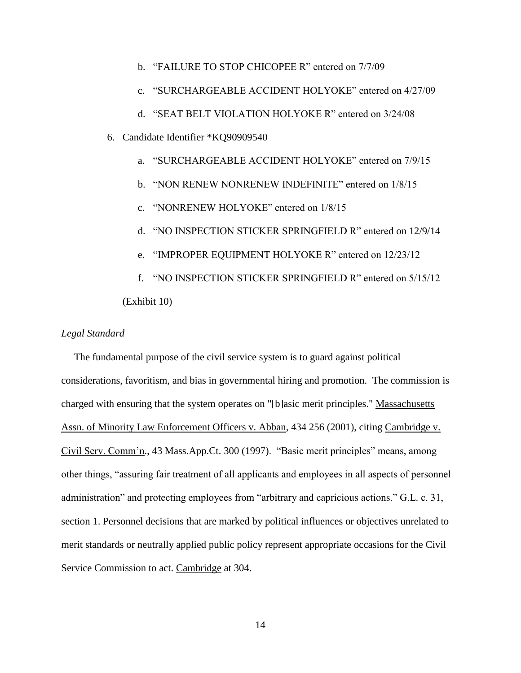- b. "FAILURE TO STOP CHICOPEE R" entered on 7/7/09
- c. "SURCHARGEABLE ACCIDENT HOLYOKE" entered on 4/27/09
- d. "SEAT BELT VIOLATION HOLYOKE R" entered on 3/24/08
- 6. Candidate Identifier \*KQ90909540
	- a. "SURCHARGEABLE ACCIDENT HOLYOKE" entered on 7/9/15
	- b. "NON RENEW NONRENEW INDEFINITE" entered on 1/8/15
	- c. "NONRENEW HOLYOKE" entered on 1/8/15
	- d. "NO INSPECTION STICKER SPRINGFIELD R" entered on 12/9/14
	- e. "IMPROPER EQUIPMENT HOLYOKE R" entered on 12/23/12

f. "NO INSPECTION STICKER SPRINGFIELD R" entered on 5/15/12 (Exhibit 10)

## *Legal Standard*

 The fundamental purpose of the civil service system is to guard against political considerations, favoritism, and bias in governmental hiring and promotion. The commission is charged with ensuring that the system operates on "[b]asic merit principles." Massachusetts Assn. of Minority Law Enforcement Officers v. Abban, 434 256 (2001), citing Cambridge v. Civil Serv. Comm'n., 43 Mass.App.Ct. 300 (1997). "Basic merit principles" means, among other things, "assuring fair treatment of all applicants and employees in all aspects of personnel administration" and protecting employees from "arbitrary and capricious actions." G.L. c. 31, section 1. Personnel decisions that are marked by political influences or objectives unrelated to merit standards or neutrally applied public policy represent appropriate occasions for the Civil Service Commission to act. Cambridge at 304.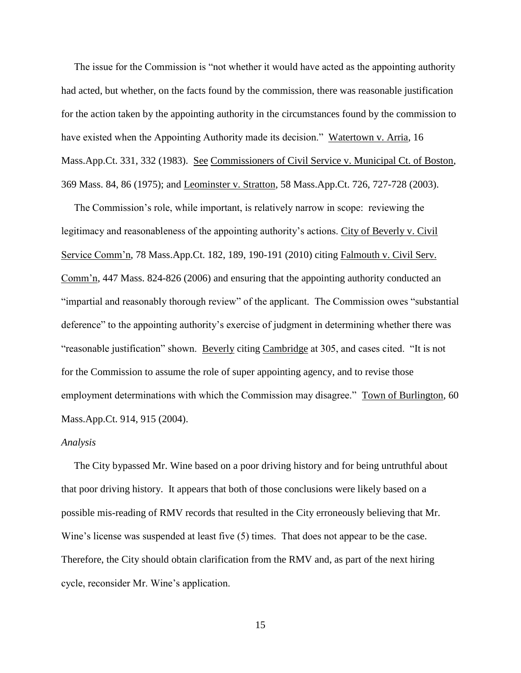The issue for the Commission is "not whether it would have acted as the appointing authority had acted, but whether, on the facts found by the commission, there was reasonable justification for the action taken by the appointing authority in the circumstances found by the commission to have existed when the Appointing Authority made its decision." Watertown v. Arria, 16 Mass.App.Ct. 331, 332 (1983). See Commissioners of Civil Service v. Municipal Ct. of Boston, 369 Mass. 84, 86 (1975); and Leominster v. Stratton, 58 Mass.App.Ct. 726, 727-728 (2003).

 The Commission's role, while important, is relatively narrow in scope: reviewing the legitimacy and reasonableness of the appointing authority's actions. City of Beverly v. Civil Service Comm'n, 78 Mass.App.Ct. 182, 189, 190-191 (2010) citing Falmouth v. Civil Serv. Comm'n, 447 Mass. 824-826 (2006) and ensuring that the appointing authority conducted an "impartial and reasonably thorough review" of the applicant. The Commission owes "substantial deference" to the appointing authority's exercise of judgment in determining whether there was "reasonable justification" shown. Beverly citing Cambridge at 305, and cases cited. "It is not for the Commission to assume the role of super appointing agency, and to revise those employment determinations with which the Commission may disagree." Town of Burlington, 60 Mass.App.Ct. 914, 915 (2004).

#### *Analysis*

 The City bypassed Mr. Wine based on a poor driving history and for being untruthful about that poor driving history. It appears that both of those conclusions were likely based on a possible mis-reading of RMV records that resulted in the City erroneously believing that Mr. Wine's license was suspended at least five (5) times. That does not appear to be the case. Therefore, the City should obtain clarification from the RMV and, as part of the next hiring cycle, reconsider Mr. Wine's application.

15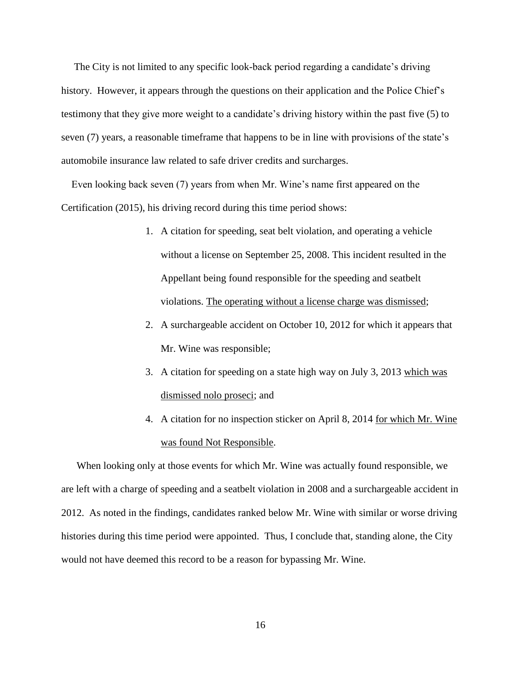The City is not limited to any specific look-back period regarding a candidate's driving history. However, it appears through the questions on their application and the Police Chief's testimony that they give more weight to a candidate's driving history within the past five (5) to seven (7) years, a reasonable timeframe that happens to be in line with provisions of the state's automobile insurance law related to safe driver credits and surcharges.

 Even looking back seven (7) years from when Mr. Wine's name first appeared on the Certification (2015), his driving record during this time period shows:

- 1. A citation for speeding, seat belt violation, and operating a vehicle without a license on September 25, 2008. This incident resulted in the Appellant being found responsible for the speeding and seatbelt violations. The operating without a license charge was dismissed;
- 2. A surchargeable accident on October 10, 2012 for which it appears that Mr. Wine was responsible;
- 3. A citation for speeding on a state high way on July 3, 2013 which was dismissed nolo proseci; and
- 4. A citation for no inspection sticker on April 8, 2014 for which Mr. Wine was found Not Responsible.

 When looking only at those events for which Mr. Wine was actually found responsible, we are left with a charge of speeding and a seatbelt violation in 2008 and a surchargeable accident in 2012. As noted in the findings, candidates ranked below Mr. Wine with similar or worse driving histories during this time period were appointed. Thus, I conclude that, standing alone, the City would not have deemed this record to be a reason for bypassing Mr. Wine.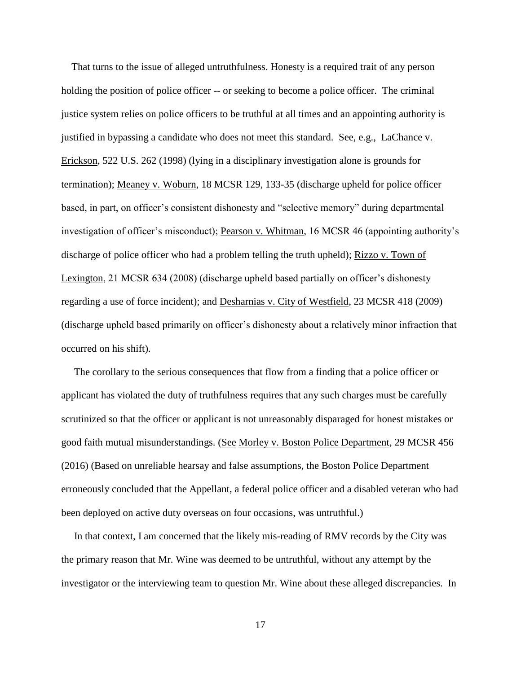That turns to the issue of alleged untruthfulness. Honesty is a required trait of any person holding the position of police officer -- or seeking to become a police officer. The criminal justice system relies on police officers to be truthful at all times and an appointing authority is justified in bypassing a candidate who does not meet this standard. See, e.g., LaChance v. Erickson, 522 U.S. 262 (1998) (lying in a disciplinary investigation alone is grounds for termination); Meaney v. Woburn, 18 MCSR 129, 133-35 (discharge upheld for police officer based, in part, on officer's consistent dishonesty and "selective memory" during departmental investigation of officer's misconduct); Pearson v. Whitman, 16 MCSR 46 (appointing authority's discharge of police officer who had a problem telling the truth upheld); Rizzo v. Town of Lexington, 21 MCSR 634 (2008) (discharge upheld based partially on officer's dishonesty regarding a use of force incident); and Desharnias v. City of Westfield, 23 MCSR 418 (2009) (discharge upheld based primarily on officer's dishonesty about a relatively minor infraction that occurred on his shift).

 The corollary to the serious consequences that flow from a finding that a police officer or applicant has violated the duty of truthfulness requires that any such charges must be carefully scrutinized so that the officer or applicant is not unreasonably disparaged for honest mistakes or good faith mutual misunderstandings. (See Morley v. Boston Police Department, 29 MCSR 456 (2016) (Based on unreliable hearsay and false assumptions, the Boston Police Department erroneously concluded that the Appellant, a federal police officer and a disabled veteran who had been deployed on active duty overseas on four occasions, was untruthful.)

 In that context, I am concerned that the likely mis-reading of RMV records by the City was the primary reason that Mr. Wine was deemed to be untruthful, without any attempt by the investigator or the interviewing team to question Mr. Wine about these alleged discrepancies. In

17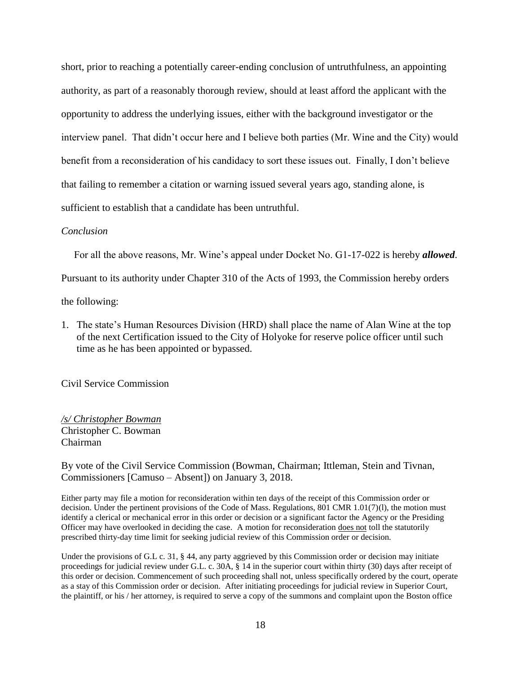short, prior to reaching a potentially career-ending conclusion of untruthfulness, an appointing authority, as part of a reasonably thorough review, should at least afford the applicant with the opportunity to address the underlying issues, either with the background investigator or the interview panel. That didn't occur here and I believe both parties (Mr. Wine and the City) would benefit from a reconsideration of his candidacy to sort these issues out. Finally, I don't believe that failing to remember a citation or warning issued several years ago, standing alone, is sufficient to establish that a candidate has been untruthful.

#### *Conclusion*

For all the above reasons, Mr. Wine's appeal under Docket No. G1-17-022 is hereby *allowed*.

Pursuant to its authority under Chapter 310 of the Acts of 1993, the Commission hereby orders

the following:

1. The state's Human Resources Division (HRD) shall place the name of Alan Wine at the top of the next Certification issued to the City of Holyoke for reserve police officer until such time as he has been appointed or bypassed.

Civil Service Commission

*/s/ Christopher Bowman* Christopher C. Bowman Chairman

By vote of the Civil Service Commission (Bowman, Chairman; Ittleman, Stein and Tivnan, Commissioners [Camuso – Absent]) on January 3, 2018.

Either party may file a motion for reconsideration within ten days of the receipt of this Commission order or decision. Under the pertinent provisions of the Code of Mass. Regulations, 801 CMR 1.01(7)(l), the motion must identify a clerical or mechanical error in this order or decision or a significant factor the Agency or the Presiding Officer may have overlooked in deciding the case. A motion for reconsideration does not toll the statutorily prescribed thirty-day time limit for seeking judicial review of this Commission order or decision.

Under the provisions of G.L c. 31, § 44, any party aggrieved by this Commission order or decision may initiate proceedings for judicial review under G.L. c. 30A, § 14 in the superior court within thirty (30) days after receipt of this order or decision. Commencement of such proceeding shall not, unless specifically ordered by the court, operate as a stay of this Commission order or decision. After initiating proceedings for judicial review in Superior Court, the plaintiff, or his / her attorney, is required to serve a copy of the summons and complaint upon the Boston office